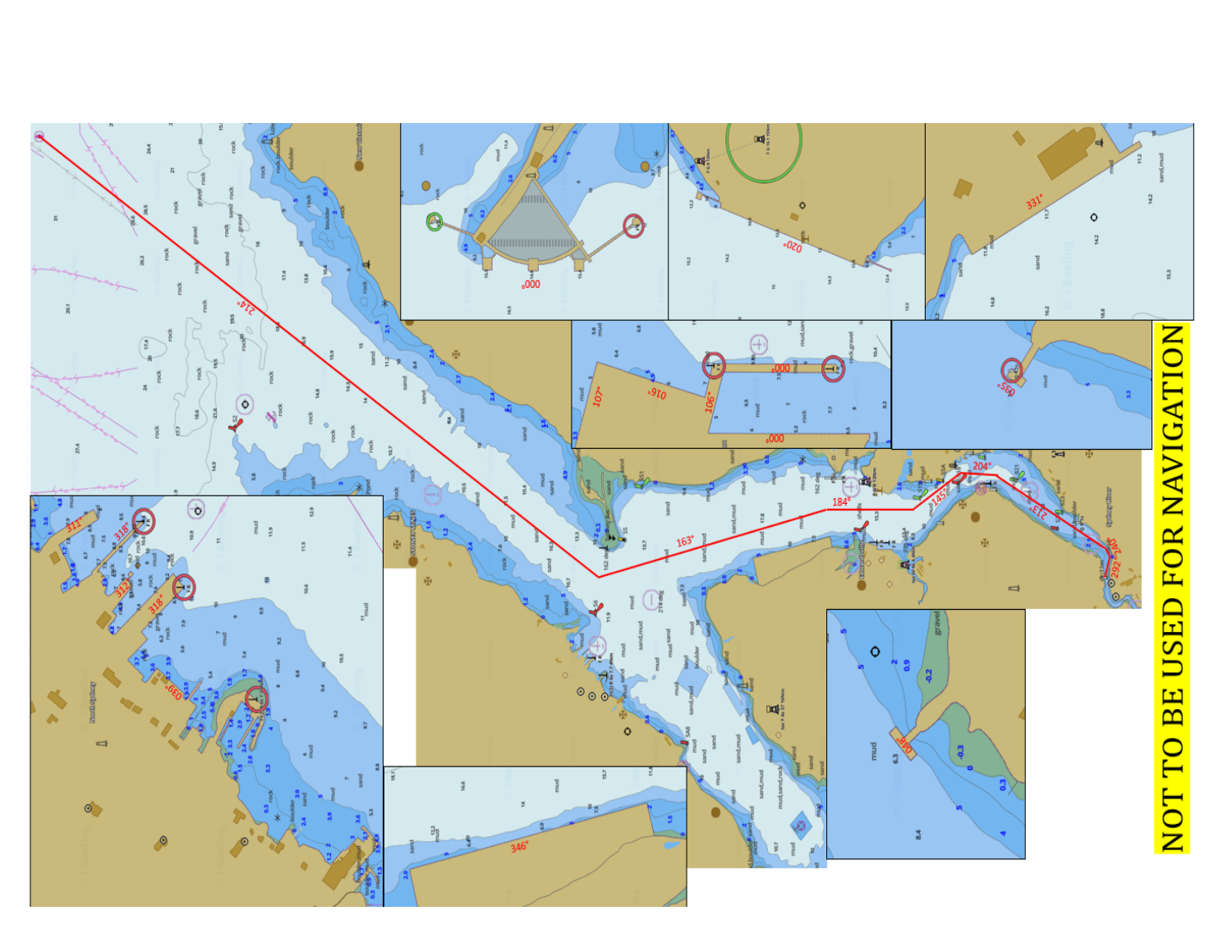